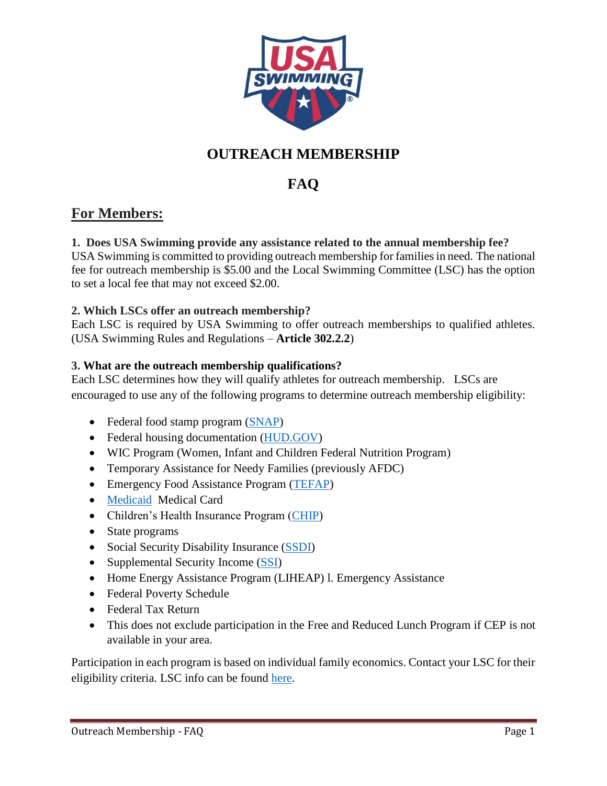

# **OUTREACH MEMBERSHIP**

# **FAQ**

# **For Members:**

# **1. Does USA Swimming provide any assistance related to the annual membership fee?**

USA Swimming is committed to providing outreach membership for families in need. The national fee for outreach membership is \$5.00 and the Local Swimming Committee (LSC) has the option to set a local fee that may not exceed \$2.00.

# **2. Which LSCs offer an outreach membership?**

Each LSC is required by USA Swimming to offer outreach memberships to qualified athletes. (USA Swimming Rules and Regulations – **Article 302.2.2**)

# **3. What are the outreach membership qualifications?**

Each LSC determines how they will qualify athletes for outreach membership. LSCs are encouraged to use any of the following programs to determine outreach membership eligibility:

- Federal food stamp program [\(SNAP\)](http://www.fns.usda.gov/snap/supplemental-nutrition-assistance-program-snap)
- Federal housing documentation [\(HUD.GOV\)](http://portal.hud.gov/hudportal/HUD)
- WIC Program (Women, Infant and Children Federal Nutrition Program)
- Temporary Assistance for Needy Families (previously AFDC)
- Emergency Food Assistance Program [\(TEFAP\)](https://www.fns.usda.gov/tefap/emergency-food-assistance-program-tefap)
- [Medicaid](https://www.medicaid.gov/) Medical Card
- Children's Health Insurance Program [\(CHIP\)](https://www.healthcare.gov/medicaid-chip/childrens-health-insurance-program/)
- State programs
- Social Security Disability Insurance [\(SSDI\)](https://www.ssa.gov/disability/)
- Supplemental Security Income [\(SSI\)](https://www.ssa.gov/disabilityssi/ssi.html)
- Home Energy Assistance Program (LIHEAP) 1. Emergency Assistance
- Federal Poverty Schedule
- Federal Tax Return
- This does not exclude participation in the Free and Reduced Lunch Program if CEP is not available in your area.

Participation in each program is based on individual family economics. Contact your LSC for their eligibility criteria. LSC info can be found [here.](https://www.usaswimming.org/articles-landing-page/2017/02/16/lsc-websites)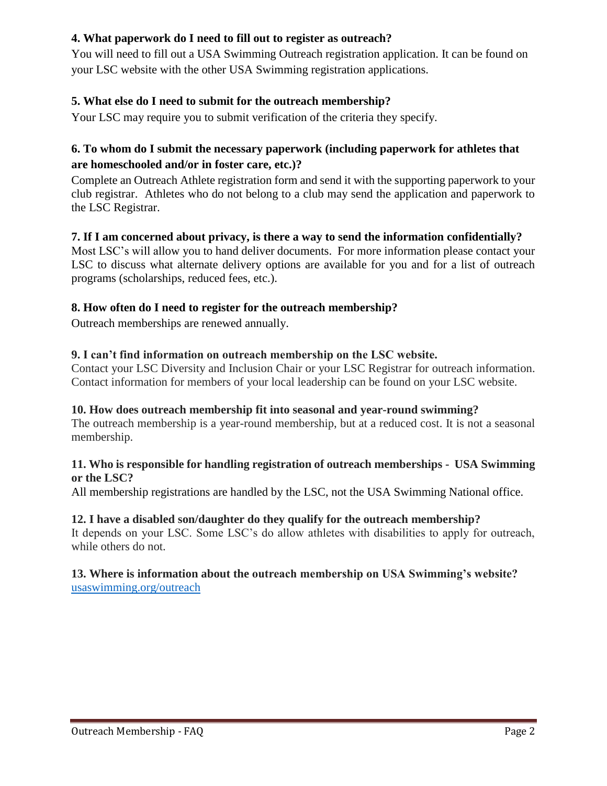# **4. What paperwork do I need to fill out to register as outreach?**

You will need to fill out a USA Swimming Outreach registration application. It can be found on your LSC website with the other USA Swimming registration applications.

# **5. What else do I need to submit for the outreach membership?**

Your LSC may require you to submit verification of the criteria they specify.

# **6. To whom do I submit the necessary paperwork (including paperwork for athletes that are homeschooled and/or in foster care, etc.)?**

Complete an Outreach Athlete registration form and send it with the supporting paperwork to your club registrar. Athletes who do not belong to a club may send the application and paperwork to the LSC Registrar.

#### **7. If I am concerned about privacy, is there a way to send the information confidentially?**

Most LSC's will allow you to hand deliver documents. For more information please contact your LSC to discuss what alternate delivery options are available for you and for a list of outreach programs (scholarships, reduced fees, etc.).

# **8. How often do I need to register for the outreach membership?**

Outreach memberships are renewed annually.

#### **9. I can't find information on outreach membership on the LSC website.**

Contact your LSC Diversity and Inclusion Chair or your LSC Registrar for outreach information. Contact information for members of your local leadership can be found on your LSC website.

#### **10. How does outreach membership fit into seasonal and year-round swimming?**

The outreach membership is a year-round membership, but at a reduced cost. It is not a seasonal membership.

#### **11. Who is responsible for handling registration of outreach memberships - USA Swimming or the LSC?**

All membership registrations are handled by the LSC, not the USA Swimming National office.

#### **12. I have a disabled son/daughter do they qualify for the outreach membership?**

It depends on your LSC. Some LSC's do allow athletes with disabilities to apply for outreach, while others do not.

#### **13. Where is information about the outreach membership on USA Swimming's website?** [usaswimming.org/outreach](http://www.usaswimming.org/outreach)